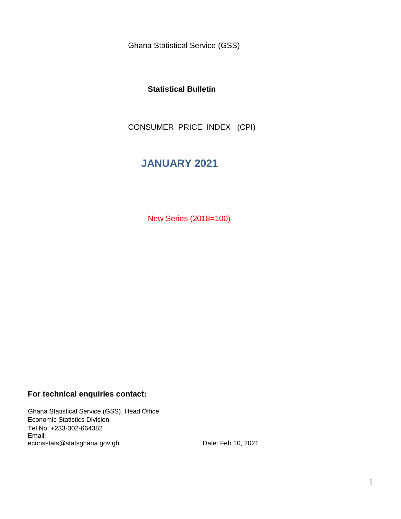Ghana Statistical Service (GSS)

### **Statistical Bulletin**

CONSUMER PRICE INDEX (CPI)

# **JANUARY 2021**

New Series (2018=100)

### **For technical enquiries contact:**

Ghana Statistical Service (GSS), Head Office Economic Statistics Division Tel No: +233-302-664382 Email: econsstats@statsghana.gov.gh

Date: Feb 10, 2021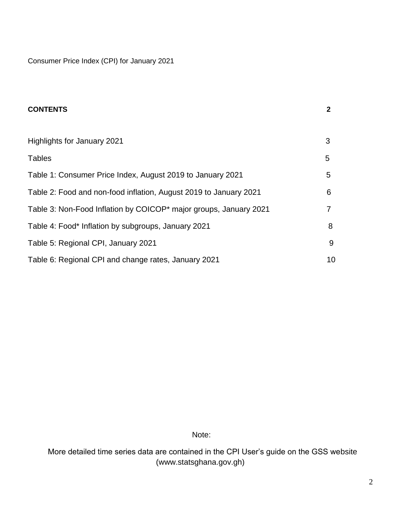Consumer Price Index (CPI) for January 2021

| <b>CONTENTS</b>                                                   | $\mathbf{2}$ |
|-------------------------------------------------------------------|--------------|
|                                                                   |              |
| Highlights for January 2021                                       | 3            |
| <b>Tables</b>                                                     | 5            |
| Table 1: Consumer Price Index, August 2019 to January 2021        | 5            |
| Table 2: Food and non-food inflation, August 2019 to January 2021 | 6            |
| Table 3: Non-Food Inflation by COICOP* major groups, January 2021 | 7            |
| Table 4: Food* Inflation by subgroups, January 2021               | 8            |
| Table 5: Regional CPI, January 2021                               | 9            |
| Table 6: Regional CPI and change rates, January 2021              | 10           |

Note:

 More detailed time series data are contained in the CPI User's guide on the GSS website (www.statsghana.gov.gh)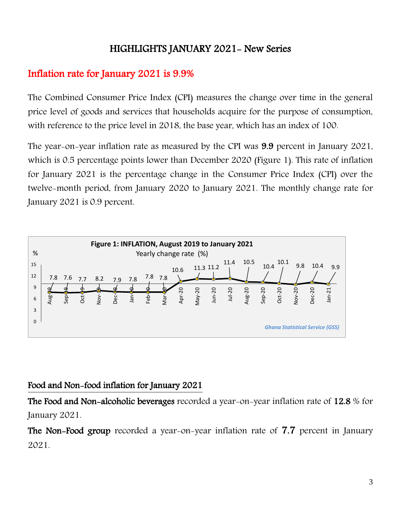# HIGHLIGHTS JANUARY 2021- New Series

# Inflation rate for January 2021 is 9.9%

The Combined Consumer Price Index (CPI) measures the change over time in the general price level of goods and services that households acquire for the purpose of consumption, with reference to the price level in 2018, the base year, which has an index of 100.

The year-on-year inflation rate as measured by the CPI was 9.9 percent in January 2021, which is 0.5 percentage points lower than December 2020 (Figure 1). This rate of inflation for January 2021 is the percentage change in the Consumer Price Index (CPI) over the twelve-month period, from January 2020 to January 2021. The monthly change rate for January 2021 is 0.9 percent.



## Food and Non-food inflation for January 2021

The Food and Non-alcoholic beverages recorded a year-on-year inflation rate of 12.8 % for January 2021.

The Non-Food group recorded a year-on-year inflation rate of 7.7 percent in January 2021.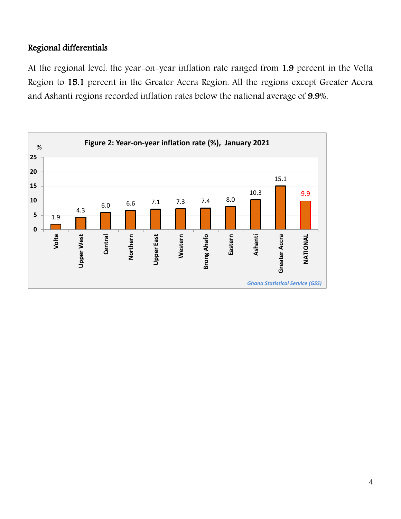## Regional differentials

At the regional level, the year-on-year inflation rate ranged from 1.9 percent in the Volta Region to 15.1 percent in the Greater Accra Region. All the regions except Greater Accra and Ashanti regions recorded inflation rates below the national average of 9.9%.

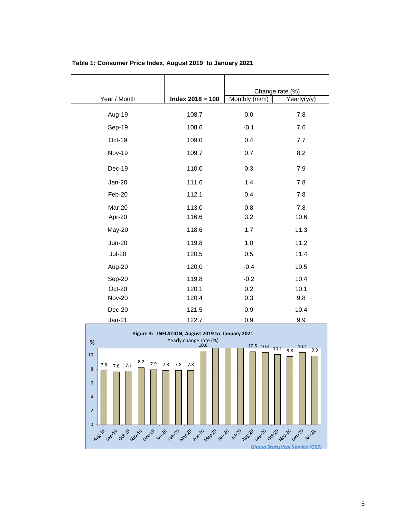|               |                    | Change rate (%) |             |
|---------------|--------------------|-----------------|-------------|
| Year / Month  | $Index 2018 = 100$ | Monthly (m/m)   | Yearly(y/y) |
| Aug-19        | 108.7              | 0.0             | 7.8         |
| Sep-19        | 108.6              | $-0.1$          | 7.6         |
| Oct-19        | 109.0              | 0.4             | 7.7         |
| <b>Nov-19</b> | 109.7              | 0.7             | 8.2         |
| Dec-19        | 110.0              | 0.3             | 7.9         |
| Jan-20        | 111.6              | 1.4             | 7.8         |
| Feb-20        | 112.1              | 0.4             | 7.8         |
| Mar-20        | 113.0              | 0.8             | 7.8         |
| Apr-20        | 116.6              | 3.2             | 10.6        |
| May-20        | 118.6              | 1.7             | 11.3        |
| <b>Jun-20</b> | 119.8              | 1.0             | 11.2        |
| <b>Jul-20</b> | 120.5              | 0.5             | 11.4        |
| Aug-20        | 120.0              | $-0.4$          | 10.5        |
| Sep-20        | 119.8              | $-0.2$          | 10.4        |
| Oct-20        | 120.1              | 0.2             | 10.1        |
| <b>Nov-20</b> | 120.4              | 0.3             | 9.8         |
| Dec-20        | 121.5              | 0.9             | 10.4        |
| <b>Jan-21</b> | 122.7              | 0.9             | 9.9         |

**Table 1: Consumer Price Index, August 2019 to January 2021**

 $\overline{\phantom{0}}$ 

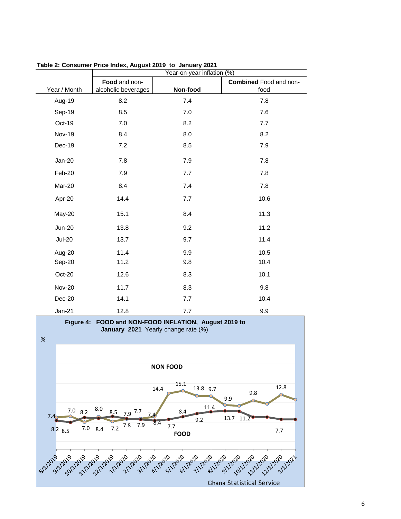|                                                                                                                                                                                                                            | Year-on-year inflation (%)           |                                  |                                       |  |  |
|----------------------------------------------------------------------------------------------------------------------------------------------------------------------------------------------------------------------------|--------------------------------------|----------------------------------|---------------------------------------|--|--|
| Year / Month                                                                                                                                                                                                               | Food and non-<br>alcoholic beverages | Non-food                         | <b>Combined Food and non-</b><br>food |  |  |
| Aug-19                                                                                                                                                                                                                     | 8.2                                  | 7.4                              | 7.8                                   |  |  |
| Sep-19                                                                                                                                                                                                                     | 8.5                                  | 7.0                              | 7.6                                   |  |  |
| Oct-19                                                                                                                                                                                                                     | 7.0                                  | 8.2                              | 7.7                                   |  |  |
| <b>Nov-19</b>                                                                                                                                                                                                              | 8.4                                  | 8.0                              | 8.2                                   |  |  |
| Dec-19                                                                                                                                                                                                                     | 7.2                                  | 8.5                              | 7.9                                   |  |  |
| Jan-20                                                                                                                                                                                                                     | 7.8                                  | 7.9                              | 7.8                                   |  |  |
| Feb-20                                                                                                                                                                                                                     | 7.9                                  | 7.7                              | 7.8                                   |  |  |
| Mar-20                                                                                                                                                                                                                     | 8.4                                  | 7.4                              | 7.8                                   |  |  |
| Apr-20                                                                                                                                                                                                                     | 14.4                                 | 7.7                              | 10.6                                  |  |  |
| May-20                                                                                                                                                                                                                     | 15.1                                 | 8.4                              | 11.3                                  |  |  |
| <b>Jun-20</b>                                                                                                                                                                                                              | 13.8                                 | 9.2                              | 11.2                                  |  |  |
| <b>Jul-20</b>                                                                                                                                                                                                              | 13.7                                 | 9.7                              | 11.4                                  |  |  |
| Aug-20                                                                                                                                                                                                                     | 11.4                                 | 9.9                              | 10.5                                  |  |  |
| Sep-20                                                                                                                                                                                                                     | 11.2                                 | 9.8                              | 10.4                                  |  |  |
| Oct-20                                                                                                                                                                                                                     | 12.6                                 | 8.3                              | 10.1                                  |  |  |
| <b>Nov-20</b>                                                                                                                                                                                                              | 11.7                                 | 8.3                              | 9.8                                   |  |  |
| Dec-20                                                                                                                                                                                                                     | 14.1                                 | 7.7                              | 10.4                                  |  |  |
| $Jan-21$                                                                                                                                                                                                                   | 12.8                                 | 7.7                              | 9.9                                   |  |  |
| FOOD and NON-FOOD INFLATION, August 2019 to<br>Figure 4:<br>January 2021 Yearly change rate (%)<br>$\%$                                                                                                                    |                                      |                                  |                                       |  |  |
| <b>NON FOOD</b>                                                                                                                                                                                                            |                                      |                                  |                                       |  |  |
|                                                                                                                                                                                                                            |                                      | 15.1<br>13.8 9.7<br>14.4         | 12.8<br>9.8<br>9.9                    |  |  |
| $7.0$ 8.2<br>7.4                                                                                                                                                                                                           | 8.0<br>$7.9$ 7.7<br>8.5              | 11.4<br>8.4                      | 11.2<br>13.7                          |  |  |
| 7.0<br>$8.2$ 8.5                                                                                                                                                                                                           | 7.9<br>7.8<br>7.2<br>8.4             | 9.2<br>8.4<br>7.7<br><b>FOOD</b> | 7.7                                   |  |  |
| 8/1/2019 9/1/2019 21/21/2019 12/21/2019 21/2019 12/2019 12/2019 12/2019 12/2019 12/2019 12/2019 12/2019 12/201<br>8/1/2019 12/2019 12/2019 12/2019 12/2019 12/2019 12/2019 12/2019 12/2019 12/2019 12/2019 12/2019 12/2019 |                                      |                                  |                                       |  |  |

**Table 2: Consumer Price Index, August 2019 to January 2021**

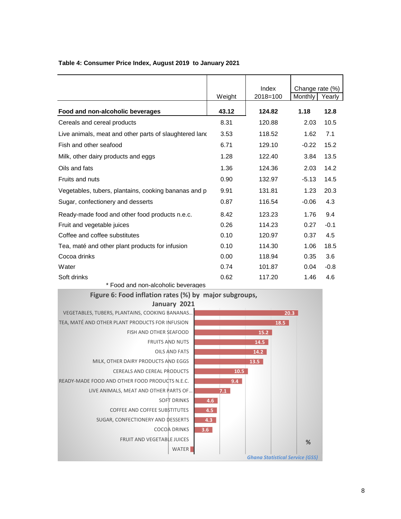|                                                        |        | Index        | Change rate (%) |        |
|--------------------------------------------------------|--------|--------------|-----------------|--------|
|                                                        | Weight | $2018 = 100$ | Monthly         | Yearly |
| Food and non-alcoholic beverages                       | 43.12  | 124.82       | 1.18            | 12.8   |
| Cereals and cereal products                            | 8.31   | 120.88       | 2.03            | 10.5   |
| Live animals, meat and other parts of slaughtered land | 3.53   | 118.52       | 1.62            | 7.1    |
| Fish and other seafood                                 | 6.71   | 129.10       | $-0.22$         | 15.2   |
| Milk, other dairy products and eggs                    | 1.28   | 122.40       | 3.84            | 13.5   |
| Oils and fats                                          | 1.36   | 124.36       | 2.03            | 14.2   |
| <b>Fruits and nuts</b>                                 | 0.90   | 132.97       | $-5.13$         | 14.5   |
| Vegetables, tubers, plantains, cooking bananas and p   | 9.91   | 131.81       | 1.23            | 20.3   |
| Sugar, confectionery and desserts                      | 0.87   | 116.54       | $-0.06$         | 4.3    |
| Ready-made food and other food products n.e.c.         | 8.42   | 123.23       | 1.76            | 9.4    |
| Fruit and vegetable juices                             | 0.26   | 114.23       | 0.27            | $-0.1$ |
| Coffee and coffee substitutes                          | 0.10   | 120.97       | 0.37            | 4.5    |
| Tea, maté and other plant products for infusion        | 0.10   | 114.30       | 1.06            | 18.5   |
| Cocoa drinks                                           | 0.00   | 118.94       | 0.35            | 3.6    |
| Water                                                  | 0.74   | 101.87       | 0.04            | $-0.8$ |
| Soft drinks                                            | 0.62   | 117.20       | 1.46            | 4.6    |

### **Table 4: Consumer Price Index, August 2019 to January 2021**

\* Food and non-alcoholic beverages

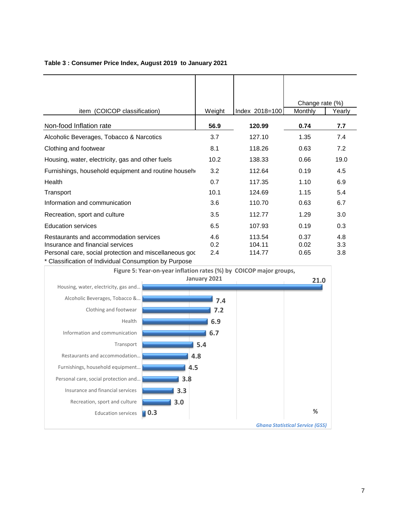|                                                                                                                                       |                   |                            | Change rate (%)      |                   |
|---------------------------------------------------------------------------------------------------------------------------------------|-------------------|----------------------------|----------------------|-------------------|
| item (COICOP classification)                                                                                                          | Weight            | Index 2018=100             | Monthly              | Yearly            |
| Non-food Inflation rate                                                                                                               | 56.9              | 120.99                     | 0.74                 | 7.7               |
| Alcoholic Beverages, Tobacco & Narcotics                                                                                              | 3.7               | 127.10                     | 1.35                 | 7.4               |
| Clothing and footwear                                                                                                                 | 8.1               | 118.26                     | 0.63                 | 7.2               |
| Housing, water, electricity, gas and other fuels                                                                                      | 10.2 <sub>2</sub> | 138.33                     | 0.66                 | 19.0              |
| Furnishings, household equipment and routine househ                                                                                   | 3.2               | 112.64                     | 0.19                 | 4.5               |
| Health                                                                                                                                | 0.7               | 117.35                     | 1.10                 | 6.9               |
| Transport                                                                                                                             | 10.1              | 124.69                     | 1.15                 | 5.4               |
| Information and communication                                                                                                         | 3.6               | 110.70                     | 0.63                 | 6.7               |
| Recreation, sport and culture                                                                                                         | 3.5               | 112.77                     | 1.29                 | 3.0               |
| <b>Education services</b>                                                                                                             | 6.5               | 107.93                     | 0.19                 | 0.3               |
| Restaurants and accommodation services<br>Insurance and financial services<br>Personal care, social protection and miscellaneous good | 4.6<br>0.2<br>2.4 | 113.54<br>104.11<br>114.77 | 0.37<br>0.02<br>0.65 | 4.8<br>3.3<br>3.8 |

#### **Table 3 : Consumer Price Index, August 2019 to January 2021**

\* Classification of Individual Consumption by Purpose

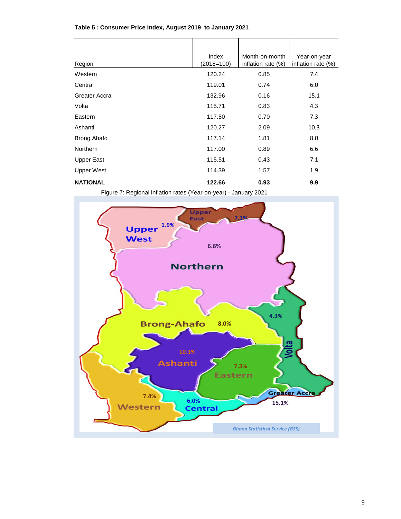| Region             | Index<br>$(2018=100)$ | Month-on-month<br>inflation rate (%) | Year-on-year<br>inflation rate (%) |
|--------------------|-----------------------|--------------------------------------|------------------------------------|
| Western            | 120.24                | 0.85                                 | 7.4                                |
| Central            | 119.01                | 0.74                                 | 6.0                                |
| Greater Accra      | 132.96                | 0.16                                 | 15.1                               |
| Volta              | 115.71                | 0.83                                 | 4.3                                |
| Eastern            | 117.50                | 0.70                                 | 7.3                                |
| Ashanti            | 120.27                | 2.09                                 | 10.3                               |
| <b>Brong Ahafo</b> | 117.14                | 1.81                                 | 8.0                                |
| Northern           | 117.00                | 0.89                                 | 6.6                                |
| <b>Upper East</b>  | 115.51                | 0.43                                 | 7.1                                |
| <b>Upper West</b>  | 114.39                | 1.57                                 | 1.9                                |
| <b>NATIONAL</b>    | 122.66                | 0.93                                 | 9.9                                |

#### **Table 5 : Consumer Price Index, August 2019 to January 2021**

Figure 7: Regional inflation rates (Year-on-year) - January 2021